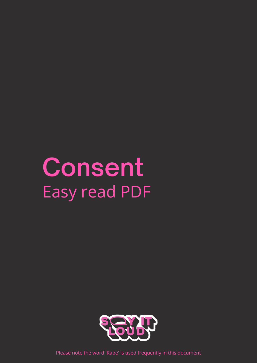# **Consent** Easy read PDF





Please note the word 'Rape' is used frequently in this document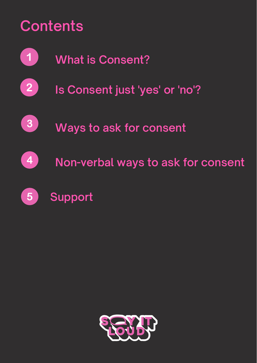## **Contents**

**What is Consent?**  $\left( 1\right)$ 

 $\begin{array}{c} \boxed{2} \end{array}$ **Is Consent just 'yes' or 'no'?**

3

**Ways to ask for consent**



**Non-verbal ways to ask for consent**



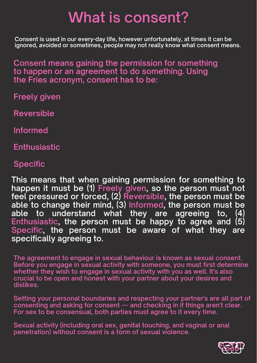# **What is consent?**

**Consent is used in our every-day life, however unfortunately, at times it can be ignored, avoided or sometimes, people may not really know what consent means.**

**Consent means gaining the permission for something to happen or an agreement to do something. Using the Fries acronym, consent has to be:**

**Freely given**

**Reversible**

**Informed**

**Enthusiastic**

**Specific**

**This means that when gaining permission for something to happen it must be (1) Freely given, so the person must not feel pressured or forced, (2) Reversible, the person must be able to change their mind, (3) Informed, the person must be able to understand what they are agreeing to, (4) Enthusiastic, the person must be happy to agree and (5) Specific, the person must be aware of what they are specifically agreeing to.**

**The agreement to engage in sexual behaviour is known as sexual consent. Before you engage in sexual activity with someone, you must first determine whether they wish to engage in sexual activity with you as well. It's also crucial to be open and honest with your partner about your desires and dislikes.**

**Setting your personal boundaries and respecting your partner's are all part of consenting and asking for consent — and checking in if things aren't clear. For sex to be consensual, both parties must agree to it every time.**

**Sexual activity (including oral sex, genital touching, and vaginal or anal penetration) without consent is a form of sexual violence.**

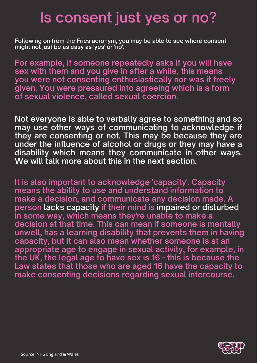# **Is consent just yes or no?**

**Following on from the Fries acronym, you may be able to see where consent might not just be as easy as 'yes' or 'no'.**

**For example, if someone repeatedly asks if you will have sex with them and you give in after a while, this means you were not consenting enthusiastically nor was it freely given. You were pressured into agreeing which is a form of sexual violence, called sexual coercion.**

**Not everyone is able to verbally agree to something and so may use other ways of communicating to acknowledge if they are consenting or not. This may be because they are under the influence of alcohol or drugs or they may have a disability which means they communicate in other ways. We will talk more about this in the next section.**

**It is also important to acknowledge 'capacity' . Capacity means the ability to use and understand information to make a decision, and communicate any decision made. A person lacks capacity if their mind is impaired or disturbed in some way, which means they're unable to make a decision at that time. This can mean if someone is mentally unwell, has a learning disability that prevents them in having capacity, but it can also mean whether someone is at an appropriate age to engage in sexual activity, for example, in the UK, the legal age to have sex is 16 - this is because the Law states that those who are aged 16 have the capacity to make consenting decisions regarding sexual intercourse.**



Source: NHS England & Wales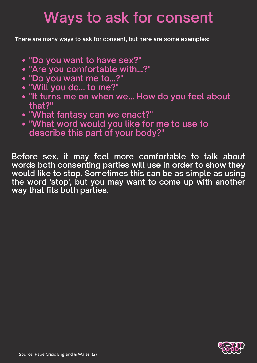# **Ways to ask for consent**

**There are many ways to ask for consent, but here are some examples:**

- **"Do you want to have sex?"**
- **"Are you comfortable with...?"**
- **"Do you want me to...?"**
- **"Will you do... to me?"**
- **"It turns me on when we... How do you feel about that?"**
- **"What fantasy can we enact?"**
- **"What word would you like for me to use to describe this part of your body?"**

**Before sex, it may feel more comfortable to talk about words both consenting parties will use in order to show they would like to stop. Sometimes this can be as simple as using the word 'stop' , but you may want to come up with another way that fits both parties.**



Source: Rape Crisis England & Wales (2)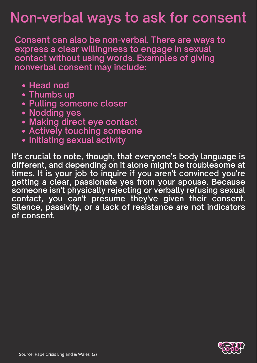## **Non-verbal ways to ask for consent**

- **Head nod**
- **Thumbs up**
- **Pulling someone closer**
- **Nodding yes**
- **Making direct eye contact**
- **Actively touching someone**
- **Initiating sexual activity**

**Consent can also be non-verbal. There are ways to express a clear willingness to engage in sexual contact without using words. Examples of giving nonverbal consent may include:**

**It's crucial to note, though, that everyone's body language is different, and depending on it alone might be troublesome at times. It is your job to inquire if you aren't convinced you're getting a clear, passionate yes from your spouse. Because someone isn't physically rejecting or verbally refusing sexual contact, you can't presume they've given their consent. Silence, passivity, or a lack of resistance are not indicators of consent.**



Source: Rape Crisis England & Wales (2)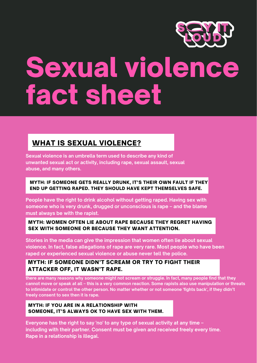## WHAT IS SEXUAL [VIOLENCE?](http://www.sayitloudspace.com/)



# Sexual violence fact sheet

#### MYTH: IF SOMEONE GETS REALLY DRUNK, IT'S THEIR OWN FAULT IF THEY END UP GETTING RAPED. THEY SHOULD HAVE KEPT THEMSELVES SAFE.

### MYTH: WOMEN OFTEN LIE ABOUT RAPE BECAUSE THEY REGRET HAVING SEX WITH SOMEONE OR BECAUSE THEY WANT ATTENTION.

## MYTH: IF SOMEONE DIDN'T SCREAM OR TRY TO FIGHT THEIR ATTACKER OFF, IT WASN'T RAPE.

### MYTH: IF YOU ARE IN A RELATIONSHIP WITH SOMEONE, IT'S ALWAYS OK TO HAVE SEX WITH THEM.

**Sexual violence is an umbrella term used to describe any kind of unwanted sexual act or activity, including rape, sexual assault, sexual abuse, and many others.**

there are many reasons why someone might not scream or struggle. In fact, many people find that they cannot move or speak at all - this is a very [common](https://rapecrisis.org.uk/get-help/looking-for-tools-to-help-you-cope/feelings/fight-or-flight-response/) reaction. Some rapists also use manipulation or threats to intimidate or control the other person. No matter whether or not someone 'fights back', if they didn't **freely consent to sex then it is rape.**

**People have the right to drink alcohol without getting raped. Having sex with someone who is very drunk, drugged or unconscious is rape – and the blame must always be with the rapist.**

**Stories in the media can give the impression that women often lie about sexual violence. In fact, false allegations of rape are very rare. Most people who have been raped or experienced sexual violence or abuse never tell the police.**

**Everyone has the right to say 'no' to any type of sexual activity at any time – including with their partner. Consent must be given and received freely every time. Rape in a relationship is illegal.**